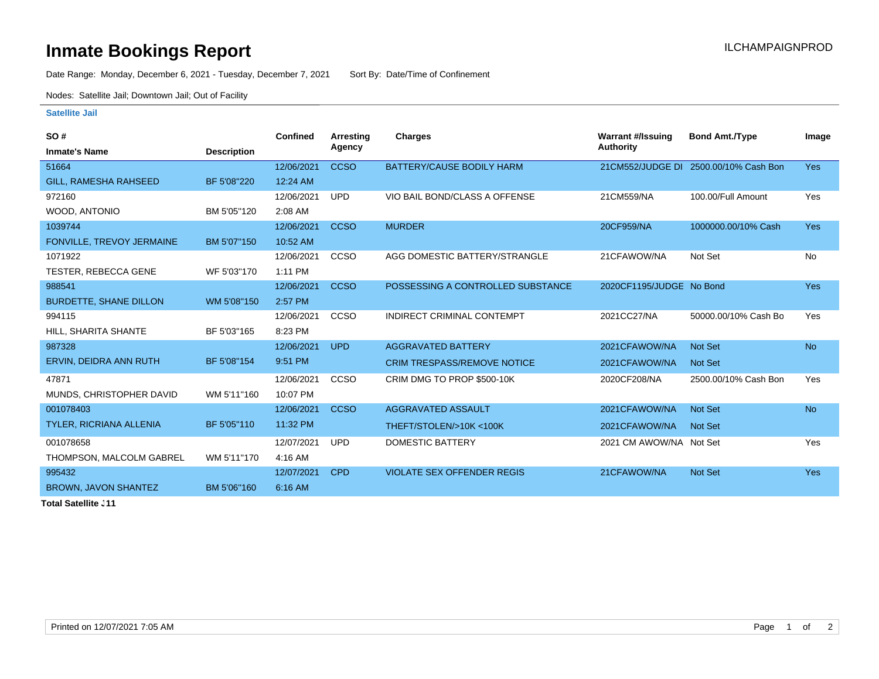## **Inmate Bookings Report Installation ILCHAMPAIGNPROD**

Date Range: Monday, December 6, 2021 - Tuesday, December 7, 2021 Sort By: Date/Time of Confinement

Nodes: Satellite Jail; Downtown Jail; Out of Facility

## **Satellite Jail**

| SO#                            |                    | Confined   | Arresting   | <b>Charges</b>                     | <b>Warrant #/Issuing</b> | <b>Bond Amt./Type</b>                 | Image      |
|--------------------------------|--------------------|------------|-------------|------------------------------------|--------------------------|---------------------------------------|------------|
| <b>Inmate's Name</b>           | <b>Description</b> |            | Agency      |                                    | <b>Authority</b>         |                                       |            |
| 51664                          |                    | 12/06/2021 | <b>CCSO</b> | BATTERY/CAUSE BODILY HARM          |                          | 21CM552/JUDGE DI 2500.00/10% Cash Bon | <b>Yes</b> |
| GILL, RAMESHA RAHSEED          | BF 5'08"220        | 12:24 AM   |             |                                    |                          |                                       |            |
| 972160                         |                    | 12/06/2021 | <b>UPD</b>  | VIO BAIL BOND/CLASS A OFFENSE      | 21CM559/NA               | 100.00/Full Amount                    | Yes        |
| WOOD, ANTONIO                  | BM 5'05"120        | 2:08 AM    |             |                                    |                          |                                       |            |
| 1039744                        |                    | 12/06/2021 | <b>CCSO</b> | <b>MURDER</b>                      | 20CF959/NA               | 1000000.00/10% Cash                   | <b>Yes</b> |
| FONVILLE, TREVOY JERMAINE      | BM 5'07"150        | 10:52 AM   |             |                                    |                          |                                       |            |
| 1071922                        |                    | 12/06/2021 | CCSO        | AGG DOMESTIC BATTERY/STRANGLE      | 21CFAWOW/NA              | Not Set                               | <b>No</b>  |
| <b>TESTER, REBECCA GENE</b>    | WF 5'03"170        | 1:11 PM    |             |                                    |                          |                                       |            |
| 988541                         |                    | 12/06/2021 | <b>CCSO</b> | POSSESSING A CONTROLLED SUBSTANCE  | 2020CF1195/JUDGE No Bond |                                       | <b>Yes</b> |
| <b>BURDETTE, SHANE DILLON</b>  | WM 5'08"150        | 2:57 PM    |             |                                    |                          |                                       |            |
| 994115                         |                    | 12/06/2021 | <b>CCSO</b> | INDIRECT CRIMINAL CONTEMPT         | 2021CC27/NA              | 50000.00/10% Cash Bo                  | Yes        |
| HILL, SHARITA SHANTE           | BF 5'03"165        | 8:23 PM    |             |                                    |                          |                                       |            |
| 987328                         |                    | 12/06/2021 | <b>UPD</b>  | <b>AGGRAVATED BATTERY</b>          | 2021CFAWOW/NA            | <b>Not Set</b>                        | <b>No</b>  |
| ERVIN, DEIDRA ANN RUTH         | BF 5'08"154        | 9:51 PM    |             | <b>CRIM TRESPASS/REMOVE NOTICE</b> | 2021CFAWOW/NA            | <b>Not Set</b>                        |            |
| 47871                          |                    | 12/06/2021 | CCSO        | CRIM DMG TO PROP \$500-10K         | 2020CF208/NA             | 2500.00/10% Cash Bon                  | Yes        |
| MUNDS, CHRISTOPHER DAVID       | WM 5'11"160        | 10:07 PM   |             |                                    |                          |                                       |            |
| 001078403                      |                    | 12/06/2021 | <b>CCSO</b> | AGGRAVATED ASSAULT                 | 2021CFAWOW/NA            | <b>Not Set</b>                        | <b>No</b>  |
| <b>TYLER, RICRIANA ALLENIA</b> | BF 5'05"110        | 11:32 PM   |             | THEFT/STOLEN/>10K<100K             | 2021CFAWOW/NA            | <b>Not Set</b>                        |            |
| 001078658                      |                    | 12/07/2021 | <b>UPD</b>  | <b>DOMESTIC BATTERY</b>            | 2021 CM AWOW/NA Not Set  |                                       | Yes        |
| THOMPSON, MALCOLM GABREL       | WM 5'11"170        | 4:16 AM    |             |                                    |                          |                                       |            |
| 995432                         |                    | 12/07/2021 | <b>CPD</b>  | <b>VIOLATE SEX OFFENDER REGIS</b>  | 21CFAWOW/NA              | <b>Not Set</b>                        | <b>Yes</b> |
| <b>BROWN, JAVON SHANTEZ</b>    | BM 5'06"160        | 6:16 AM    |             |                                    |                          |                                       |            |
|                                |                    |            |             |                                    |                          |                                       |            |

**Total Satellite Jail: 11**